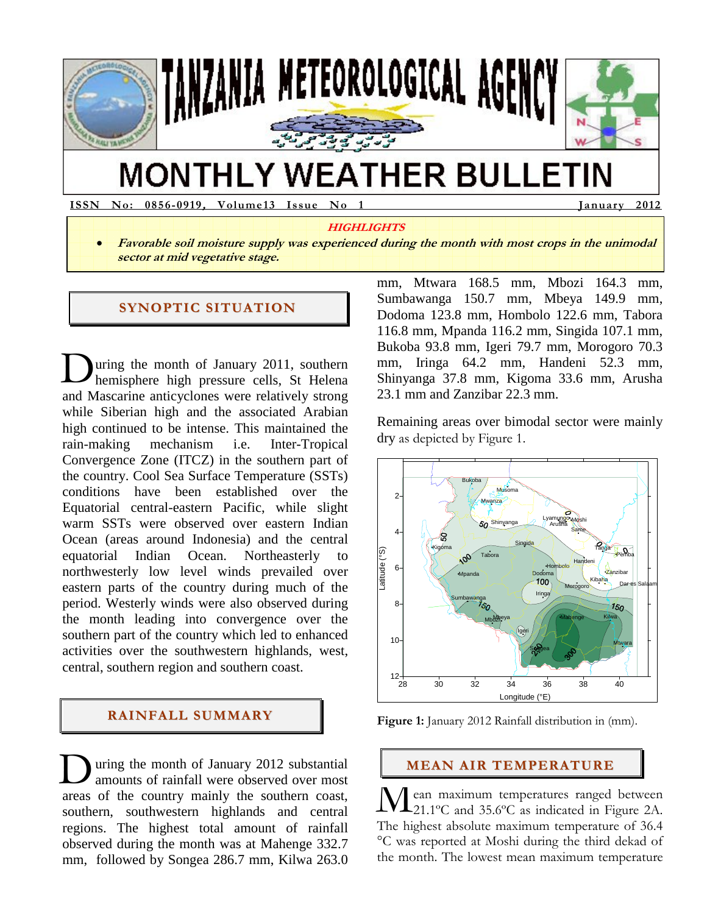

# **MONTHLY WEATHER BULLETIN**

**ISSN No: 0856-0919, Volume13 Issue No 1 January 2012** 

#### **HIGHLIGHTS**

 **Favorable soil moisture supply was experienced during the month with most crops in the unimodal sector at mid vegetative stage.** 

#### **SYNOPTIC SITUATION**

uring the month of January 2011, southern hemisphere high pressure cells, St Helena and Mascarine anticyclones were relatively strong while Siberian high and the associated Arabian high continued to be intense. This maintained the rain-making mechanism i.e. Inter-Tropical Convergence Zone (ITCZ) in the southern part of the country. Cool Sea Surface Temperature (SSTs) conditions have been established over the Equatorial central-eastern Pacific, while slight warm SSTs were observed over eastern Indian Ocean (areas around Indonesia) and the central equatorial Indian Ocean. Northeasterly to northwesterly low level winds prevailed over eastern parts of the country during much of the period. Westerly winds were also observed during the month leading into convergence over the southern part of the country which led to enhanced activities over the southwestern highlands, west, central, southern region and southern coast. D

#### **RAINFALL SUMMARY**

uring the month of January 2012 substantial amounts of rainfall were observed over most areas of the country mainly the southern coast, southern, southwestern highlands and central regions. The highest total amount of rainfall observed during the month was at Mahenge 332.7 mm, followed by Songea 286.7 mm, Kilwa 263.0 During the month of January 2012 substantial amounts of rainfall were observed over most areas of the country mainly the southern coast, southern, southwestern highlands and central

mm, Mtwara 168.5 mm, Mbozi 164.3 mm, Sumbawanga 150.7 mm, Mbeya 149.9 mm, Dodoma 123.8 mm, Hombolo 122.6 mm, Tabora 116.8 mm, Mpanda 116.2 mm, Singida 107.1 mm, Bukoba 93.8 mm, Igeri 79.7 mm, Morogoro 70.3 mm, Iringa 64.2 mm, Handeni 52.3 mm, Shinyanga 37.8 mm, Kigoma 33.6 mm, Arusha 23.1 mm and Zanzibar 22.3 mm.

Remaining areas over bimodal sector were mainly dry as depicted by Figure 1.



**Figure 1:** January 2012 Rainfall distribution in (mm).

#### **MEAN AIR TEMPERATURE**

ean maximum temperatures ranged between 21.1°C and 35.6°C as indicated in Figure 2A. The highest absolute maximum temperature of 36.4 °C was reported at Moshi during the third dekad of the month. The lowest mean maximum temperature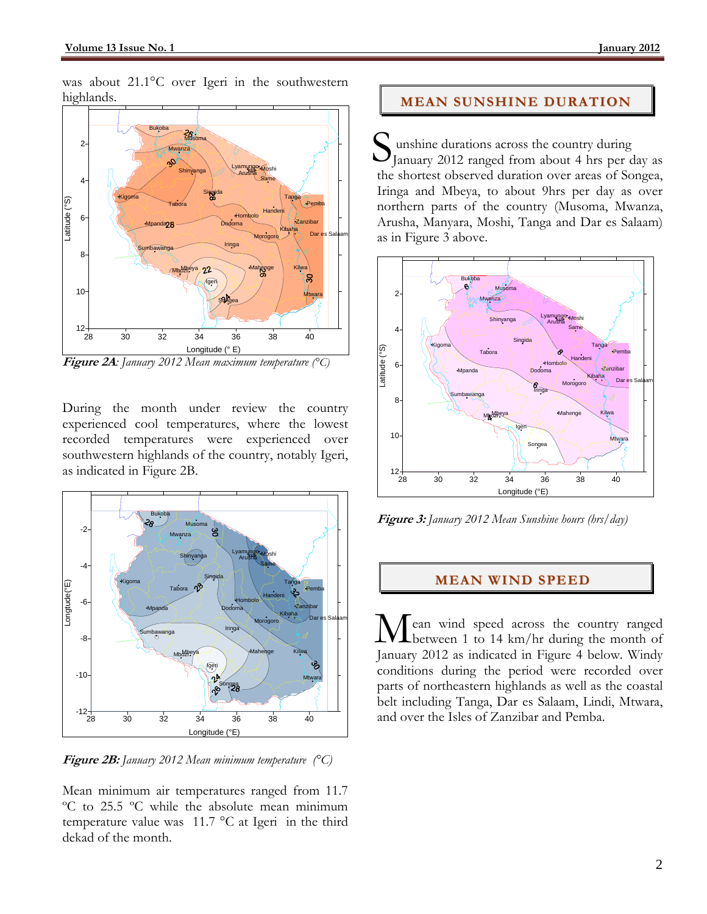was about 21.1°C over Igeri in the southwestern highlands.



**Figure 2A***: January 2012 Mean maximum temperature (°C)* 

During the month under review the country experienced cool temperatures, where the lowest recorded temperatures were experienced over southwestern highlands of the country, notably Igeri, as indicated in Figure 2B.



**Figure 2B:** *January 2012 Mean minimum temperature (°C)* 

Mean minimum air temperatures ranged from 11.7 ºC to 25.5 ºC while the absolute mean minimum temperature value was 11.7 °C at Igeri in the third dekad of the month.

## **MEAN SUNSHINE DURATION**

unshine durations across the country during January 2012 ranged from about 4 hrs per day as the shortest observed duration over areas of Songea, Iringa and Mbeya, to about 9hrs per day as over northern parts of the country (Musoma, Mwanza, Arusha, Manyara, Moshi, Tanga and Dar es Salaam) as in Figure 3 above. S



**Figure 3:** *January 2012 Mean Sunshine hours (hrs/day)* 

## **MEAN WIND SPEED**

ean wind speed across the country ranged **L** between 1 to 14 km/hr during the month of Mean wind speed across the country ranged<br>January 2012 as indicated in Figure 4 below. Windy conditions during the period were recorded over parts of northeastern highlands as well as the coastal belt including Tanga, Dar es Salaam, Lindi, Mtwara, and over the Isles of Zanzibar and Pemba.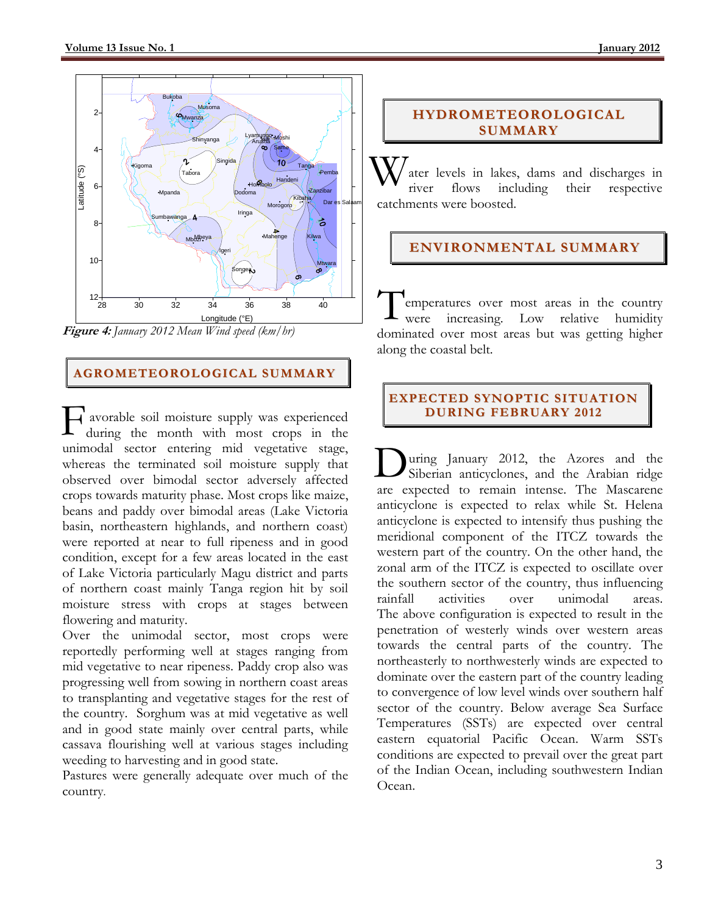

**Figure 4:** *January 2012 Mean Wind speed (km/hr)* 

# **AGROMETEOROLOGICAL SUMMARY**

 avorable soil moisture supply was experienced during the month with most crops in the unimodal sector entering mid vegetative stage, whereas the terminated soil moisture supply that observed over bimodal sector adversely affected crops towards maturity phase. Most crops like maize, beans and paddy over bimodal areas (Lake Victoria basin, northeastern highlands, and northern coast) were reported at near to full ripeness and in good condition, except for a few areas located in the east of Lake Victoria particularly Magu district and parts of northern coast mainly Tanga region hit by soil moisture stress with crops at stages between flowering and maturity.  $\prod_{\rm dt}^{\rm at}$ 

Over the unimodal sector, most crops were reportedly performing well at stages ranging from mid vegetative to near ripeness. Paddy crop also was progressing well from sowing in northern coast areas to transplanting and vegetative stages for the rest of the country. Sorghum was at mid vegetative as well and in good state mainly over central parts, while cassava flourishing well at various stages including weeding to harvesting and in good state.

Pastures were generally adequate over much of the country*.* 

# **HYDROMETEOROLOGICAL SUMMARY**

ater levels in lakes, dams and discharges in river flows including their respective catchments were boosted. W

# **ENVIRONMENTAL SUMMARY**

emperatures over most areas in the country Low relative humidity dominated over most areas but was getting higher along the coastal belt.  $\perp$  were increasing.

### **EXPECTED SYNOPTIC SITUATION DURING FEBRUARY 2012**

uring January 2012, the Azores and the Siberian anticyclones, and the Arabian ridge are expected to remain intense. The Mascarene anticyclone is expected to relax while St. Helena anticyclone is expected to intensify thus pushing the meridional component of the ITCZ towards the western part of the country. On the other hand, the zonal arm of the ITCZ is expected to oscillate over the southern sector of the country, thus influencing rainfall activities over unimodal areas. The above configuration is expected to result in the penetration of westerly winds over western areas towards the central parts of the country. The northeasterly to northwesterly winds are expected to dominate over the eastern part of the country leading to convergence of low level winds over southern half sector of the country. Below average Sea Surface Temperatures (SSTs) are expected over central eastern equatorial Pacific Ocean. Warm SSTs conditions are expected to prevail over the great part of the Indian Ocean, including southwestern Indian Ocean. D